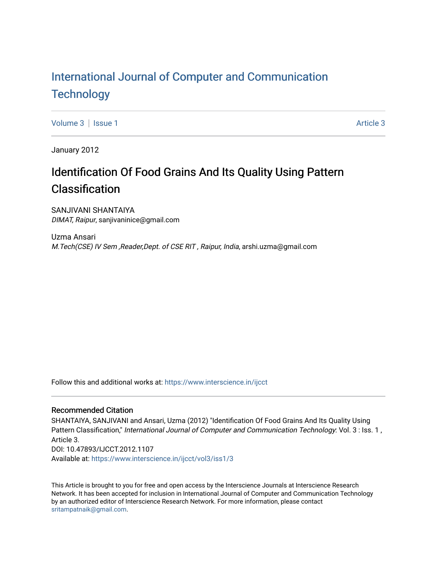# [International Journal of Computer and Communication](https://www.interscience.in/ijcct)  **Technology**

[Volume 3](https://www.interscience.in/ijcct/vol3) | [Issue 1](https://www.interscience.in/ijcct/vol3/iss1) [Article 3](https://www.interscience.in/ijcct/vol3/iss1/3) | Article 3 | Article 3 | Article 3 | Article 3 | Article 3 | Article 3 | Article 3 | Article 3 | Article 3 | Article 3 | Article 3 | Article 3 | Article 3 | Article 3 | Article 3 | Article 3 |

January 2012

# Identification Of Food Grains And Its Quality Using Pattern Classification

SANJIVANI SHANTAIYA DIMAT, Raipur, sanjivaninice@gmail.com

Uzma Ansari M.Tech(CSE) IV Sem ,Reader,Dept. of CSE RIT , Raipur, India, arshi.uzma@gmail.com

Follow this and additional works at: [https://www.interscience.in/ijcct](https://www.interscience.in/ijcct?utm_source=www.interscience.in%2Fijcct%2Fvol3%2Fiss1%2F3&utm_medium=PDF&utm_campaign=PDFCoverPages)

## Recommended Citation

SHANTAIYA, SANJIVANI and Ansari, Uzma (2012) "Identification Of Food Grains And Its Quality Using Pattern Classification," International Journal of Computer and Communication Technology: Vol. 3 : Iss. 1, Article 3. DOI: 10.47893/IJCCT.2012.1107 Available at: [https://www.interscience.in/ijcct/vol3/iss1/3](https://www.interscience.in/ijcct/vol3/iss1/3?utm_source=www.interscience.in%2Fijcct%2Fvol3%2Fiss1%2F3&utm_medium=PDF&utm_campaign=PDFCoverPages)

This Article is brought to you for free and open access by the Interscience Journals at Interscience Research Network. It has been accepted for inclusion in International Journal of Computer and Communication Technology by an authorized editor of Interscience Research Network. For more information, please contact [sritampatnaik@gmail.com](mailto:sritampatnaik@gmail.com).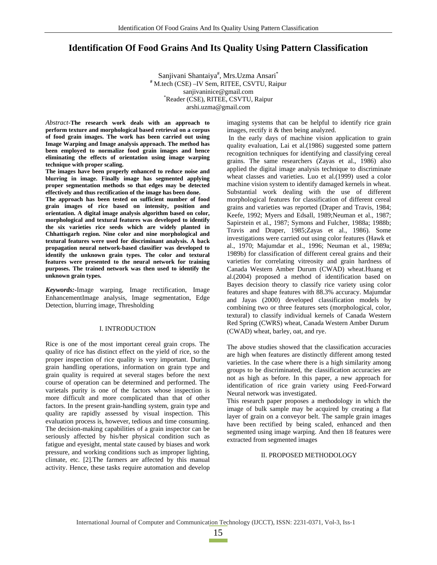## **Identification Of Food Grains And Its Quality Using Pattern Classification**

Sanjivani Shantaiya<sup>#</sup>, Mrs.Uzma Ansari<sup>\*</sup> **#** M.tech (CSE) –IV Sem, RITEE, CSVTU, Raipur sanjivaninice@gmail.com Reader (CSE), RITEE, CSVTU, Raipur arshi.uzma@gmail.com

*Abstract-***The research work deals with an approach to perform texture and morphological based retrieval on a corpus of food grain images. The work has been carried out using Image Warping and Image analysis approach. The method has been employed to normalize food grain images and hence eliminating the effects of orientation using image warping technique with proper scaling.** 

**The images have been properly enhanced to reduce noise and blurring in image. Finally image has segmented applying proper segmentation methods so that edges may be detected effectively and thus rectification of the image has been done.** 

**The approach has been tested on sufficient number of food grain images of rice based on intensity, position and orientation. A digital image analysis algorithm based on color, morphological and textural features was developed to identify the six varieties rice seeds which are widely planted in Chhattisgarh region. Nine color and nine morphological and textural features were used for discriminant analysis. A back propagation neural network-based classifier was developed to identify the unknown grain types. The color and textural features were presented to the neural network for training purposes. The trained network was then used to identify the unknown grain types.** 

*Keywords:-*Image warping, Image rectification, Image EnhancementImage analysis, Image segmentation, Edge Detection, blurring image, Thresholding

#### I. INTRODUCTION

Rice is one of the most important cereal grain crops. The quality of rice has distinct effect on the yield of rice, so the proper inspection of rice quality is very important. During grain handling operations, information on grain type and grain quality is required at several stages before the next course of operation can be determined and performed. The varietals purity is one of the factors whose inspection is more difficult and more complicated than that of other factors. In the present grain-handling system, grain type and quality are rapidly assessed by visual inspection. This evaluation process is, however, tedious and time consuming. The decision-making capabilities of a grain inspector can be seriously affected by his/her physical condition such as fatigue and eyesight, mental state caused by biases and work pressure, and working conditions such as improper lighting, climate, etc. [2].The farmers are affected by this manual activity. Hence, these tasks require automation and develop

imaging systems that can be helpful to identify rice grain images, rectify it & then being analyzed.

 In the early days of machine vision application to grain quality evaluation, Lai et al.(1986) suggested some pattern recognition techniques for identifying and classifying cereal grains. The same researchers (Zayas et al., 1986) also applied the digital image analysis technique to discriminate wheat classes and varieties. Luo et al.(1999) used a color machine vision system to identify damaged kernels in wheat. Substantial work dealing with the use of different morphological features for classification of different cereal grains and varieties was reported (Draper and Travis, 1984; Keefe, 1992; Myers and Edsall, 1989;Neuman et al., 1987; Sapirstein et al., 1987; Symons and Fulcher, 1988a; 1988b; Travis and Draper, 1985;Zayas et al., 1986). Some investigations were carried out using color features (Hawk et al., 1970; Majumdar et al., 1996; Neuman et al., 1989a; 1989b) for classification of different cereal grains and their varieties for correlating vitreosity and grain hardness of Canada Western Amber Durum (CWAD) wheat.Huang et al.(2004) proposed a method of identification based on Bayes decision theory to classify rice variety using color features and shape features with 88.3% accuracy. Majumdar and Jayas (2000) developed classification models by combining two or three features sets (morphological, color, textural) to classify individual kernels of Canada Western Red Spring (CWRS) wheat, Canada Western Amber Durum (CWAD) wheat, barley, oat, and rye.

The above studies showed that the classification accuracies are high when features are distinctly different among tested varieties. In the case where there is a high similarity among groups to be discriminated, the classification accuracies are not as high as before. In this paper, a new approach for identification of rice grain variety using Feed-Forward Neural network was investigated.

This research paper proposes a methodology in which the image of bulk sample may be acquired by creating a flat layer of grain on a conveyor belt. The sample grain images have been rectified by being scaled, enhanced and then segmented using image warping. And then 18 features were extracted from segmented images

### II. PROPOSED METHODOLOGY

15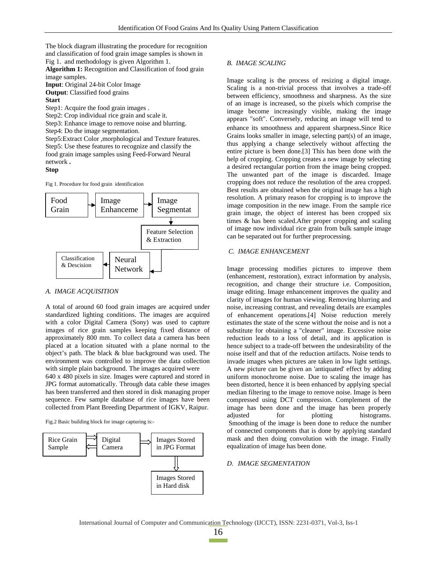The block diagram illustrating the procedure for recognition and classification of food grain image samples is shown in Fig 1. and methodology is given Algorithm 1.

**Algorithm 1:** Recognition and Classification of food grain image samples.

**Input**: Original 24-bit Color Image **Output**: Classified food grains

## **Start**

Step1: Acquire the food grain images .

Step2: Crop individual rice grain and scale it.

Step3: Enhance image to remove noise and blurring.

Step4: Do the image segmentation.

Step5:Extract Color ,morphological and Texture features. Step5: Use these features to recognize and classify the food grain image samples using Feed-Forward Neural network **.** 

#### **Stop**

Fig 1. Procedure for food grain identification



## *A. IMAGE ACQUISITION*

A total of around 60 food grain images are acquired under standardized lighting conditions. The images are acquired with a color Digital Camera (Sony) was used to capture images of rice grain samples keeping fixed distance of approximately 800 mm. To collect data a camera has been placed at a location situated with a plane normal to the object's path. The black & blue background was used. The environment was controlled to improve the data collection with simple plain background. The images acquired were

640 x 480 pixels in size. Images were captured and stored in JPG format automatically. Through data cable these images has been transferred and then stored in disk managing proper sequence. Few sample database of rice images have been collected from Plant Breeding Department of IGKV, Raipur.

Fig.2 Basic building block for image capturing is:-



## *B. IMAGE SCALING*

Image scaling is the process of resizing a digital image. Scaling is a non-trivial process that involves a trade-off between efficiency, smoothness and sharpness. As the size of an image is increased, so the pixels which comprise the image become increasingly visible, making the image appears "soft". Conversely, reducing an image will tend to enhance its smoothness and apparent sharpness.Since Rice Grains looks smaller in image, selecting part(s) of an image, thus applying a change selectively without affecting the entire picture is been done.[3] This has been done with the help of cropping. Cropping creates a new image by selecting a desired rectangular portion from the image being cropped. The unwanted part of the image is discarded. Image cropping does not reduce the resolution of the area cropped. Best results are obtained when the original image has a high resolution. A primary reason for cropping is to improve the image composition in the new image. From the sample rice grain image, the object of interest has been cropped six times & has been scaled.After proper cropping and scaling of image now individual rice grain from bulk sample image can be separated out for further preprocessing.

## *C. IMAGE ENHANCEMENT*

Image processing modifies pictures to improve them (enhancement, restoration), extract information by analysis, recognition, and change their structure i.e. Composition, image editing. Image enhancement improves the quality and clarity of images for human viewing. Removing blurring and noise, increasing contrast, and revealing details are examples of enhancement operations.[4] Noise reduction merely estimates the state of the scene without the noise and is not a substitute for obtaining a "cleaner" image. Excessive noise reduction leads to a loss of detail, and its application is hence subject to a trade-off between the undesirability of the noise itself and that of the reduction artifacts. Noise tends to invade images when pictures are taken in low light settings. A new picture can be given an 'antiquated' effect by adding uniform monochrome noise. Due to scaling the image has been distorted, hence it is been enhanced by applying special median filtering to the image to remove noise. Image is been compressed using DCT compression. Complement of the image has been done and the image has been properly adjusted for plotting histograms. Smoothing of the image is been done to reduce the number of connected components that is done by applying standard mask and then doing convolution with the image. Finally equalization of image has been done.

## *D. IMAGE SEGMENTATION*

International Journal of Computer and Communication Technology (IJCCT), ISSN: 2231-0371, Vol-3, Iss-1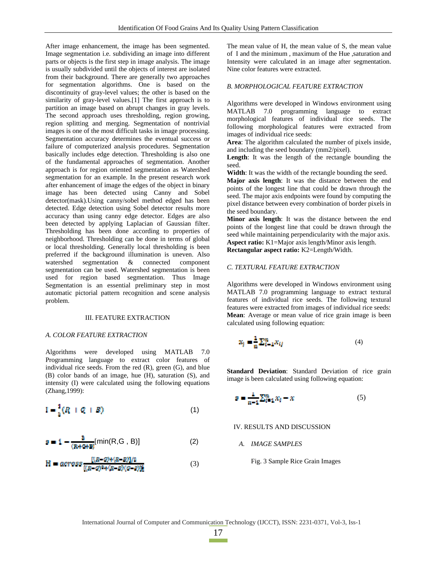After image enhancement, the image has been segmented. Image segmentation i.e. subdividing an image into different parts or objects is the first step in image analysis. The image is usually subdivided until the objects of interest are isolated from their background. There are generally two approaches for segmentation algorithms. One is based on the discontinuity of gray-level values; the other is based on the similarity of gray-level values.[1] The first approach is to partition an image based on abrupt changes in gray levels. The second approach uses thresholding, region growing, region splitting and merging. Segmentation of nontrivial images is one of the most difficult tasks in image processing. Segmentation accuracy determines the eventual success or failure of computerized analysis procedures. Segmentation basically includes edge detection. Thresholding is also one of the fundamental approaches of segmentation. Another approach is for region oriented segmentation as Watershed segmentation for an example. In the present research work after enhancement of image the edges of the object in binary image has been detected using Canny and Sobel detector(mask).Using canny/sobel method edged has been detected. Edge detection using Sobel detector results more accuracy than using canny edge detector. Edges are also been detected by applying Laplacian of Gaussian filter. Thresholding has been done according to properties of neighborhood. Thresholding can be done in terms of global or local thresholding. Generally local thresholding is been preferred if the background illumination is uneven. Also watershed segmentation & connected component segmentation  $\&$  connected component segmentation can be used. Watershed segmentation is been used for region based segmentation. Thus Image Segmentation is an essential preliminary step in most automatic pictorial pattern recognition and scene analysis problem.

#### III. FEATURE EXTRACTION

#### *A. COLOR FEATURE EXTRACTION*

Algorithms were developed using MATLAB 7.0 Programming language to extract color features of individual rice seeds. From the red (R), green (G), and blue (B) color bands of an image, hue (H), saturation (S), and intensity (I) were calculated using the following equations (Zhang,1999):

$$
I = \frac{1}{2}(R + Q + B) \tag{1}
$$

$$
\mathbf{a} = \mathbf{1} - \frac{\mathbf{a}}{(\mathbf{R} + \mathbf{C} + \mathbf{B})} [\min(\mathbf{R}, \mathbf{G}, \mathbf{B})] \tag{2}
$$

$$
H = \arccos\frac{[(R-Q)+(R-B)]/2}{[(R-Q)^2+(R-B)(q-B)]} \tag{3}
$$

The mean value of H, the mean value of S, the mean value of I and the minimum , maximum of the Hue ,saturation and Intensity were calculated in an image after segmentation. Nine color features were extracted.

## *B. MORPHOLOGICAL FEATURE EXTRACTION*

Algorithms were developed in Windows environment using MATLAB 7.0 programming language to extract morphological features of individual rice seeds. The following morphological features were extracted from images of individual rice seeds:

**Area**: The algorithm calculated the number of pixels inside, and including the seed boundary (mm2/pixel).

**Length**: It was the length of the rectangle bounding the seed.

**Width**: It was the width of the rectangle bounding the seed.

**Major axis length**: It was the distance between the end points of the longest line that could be drawn through the seed. The major axis endpoints were found by computing the pixel distance between every combination of border pixels in the seed boundary.

**Minor axis length**: It was the distance between the end points of the longest line that could be drawn through the seed while maintaining perpendicularity with the major axis. **Aspect ratio:** K1=Major axis length/Minor axis length. **Rectangular aspect ratio:** K2=Length/Width.

#### *C. TEXTURAL FEATURE EXTRACTION*

Algorithms were developed in Windows environment using MATLAB 7.0 programming language to extract textural features of individual rice seeds. The following textural features were extracted from images of individual rice seeds: **Mean**: Average or mean value of rice grain image is been calculated using following equation:

$$
\mathbf{x}_j = \frac{1}{n} \sum_{i=1}^n x_{ij} \tag{4}
$$

**Standard Deviation**: Standard Deviation of rice grain image is been calculated using following equation:

$$
s = \frac{1}{n-1} \sum_{i=1}^{n} x_i - x \tag{5}
$$

IV. RESULTS AND DISCUSSION

*A. IMAGE SAMPLES* 

Fig. 3 Sample Rice Grain Images

International Journal of Computer and Communication Technology (IJCCT), ISSN: 2231-0371, Vol-3, Iss-1

17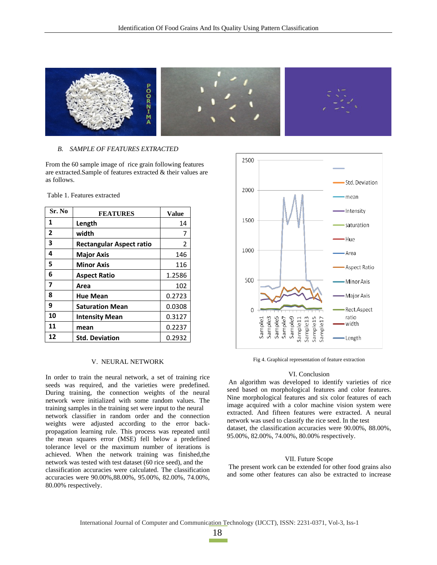

## *B. SAMPLE OF FEATURES EXTRACTED*

From the 60 sample image of rice grain following features are extracted.Sample of features extracted & their values are as follows.

Table 1. Features extracted

| Sr. No         | <b>FEATURES</b>                 | <b>Value</b>   |
|----------------|---------------------------------|----------------|
| 1              | Length                          | 14             |
| $\overline{2}$ | width                           | 7              |
| 3              | <b>Rectangular Aspect ratio</b> | $\overline{2}$ |
| 4              | <b>Major Axis</b>               | 146            |
| 5              | <b>Minor Axis</b>               | 116            |
| 6              | <b>Aspect Ratio</b>             | 1.2586         |
| 7              | Area                            | 102            |
| 8              | <b>Hue Mean</b>                 | 0.2723         |
| 9              | <b>Saturation Mean</b>          | 0.0308         |
| 10             | <b>Intensity Mean</b>           | 0.3127         |
| 11             | mean                            | 0.2237         |
| 12             | <b>Std. Deviation</b>           | 0.2932         |

#### V. NEURAL NETWORK

In order to train the neural network, a set of training rice seeds was required, and the varieties were predefined. During training, the connection weights of the neural network were initialized with some random values. The training samples in the training set were input to the neural network classifier in random order and the connection weights were adjusted according to the error backpropagation learning rule. This process was repeated until the mean squares error (MSE) fell below a predefined tolerance level or the maximum number of iterations is achieved. When the network training was finished,the network was tested with test dataset (60 rice seed), and the classification accuracies were calculated. The classification accuracies were 90.00%,88.00%, 95.00%, 82.00%, 74.00%, 80.00% respectively.



Fig 4. Graphical representation of feature extraction

#### VI. Conclusion

 An algorithm was developed to identify varieties of rice seed based on morphological features and color features. Nine morphological features and six color features of each image acquired with a color machine vision system were extracted. And fifteen features were extracted. A neural network was used to classify the rice seed. In the test dataset, the classification accuracies were 90.00%, 88.00%, 95.00%, 82.00%, 74.00%, 80.00% respectively.

## VII. Future Scope

 The present work can be extended for other food grains also and some other features can also be extracted to increase